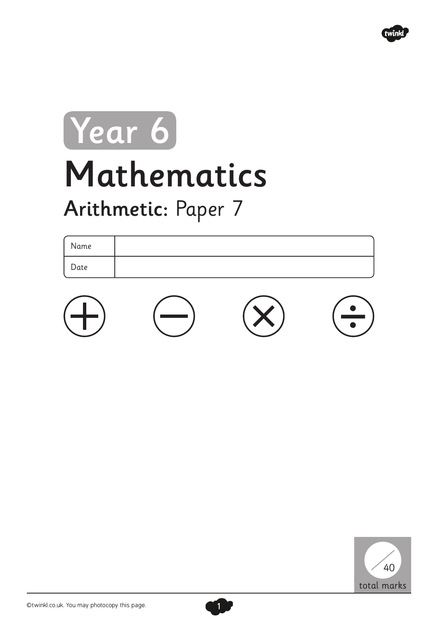

## Mathematics Arithmetic: Paper 7 Year 6

| Name |  |
|------|--|
| Date |  |
|      |  |





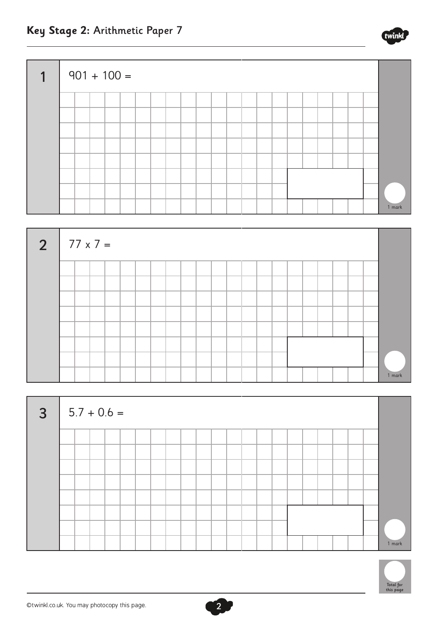





2



**Key Stage 2:** Arithmetic Paper 7

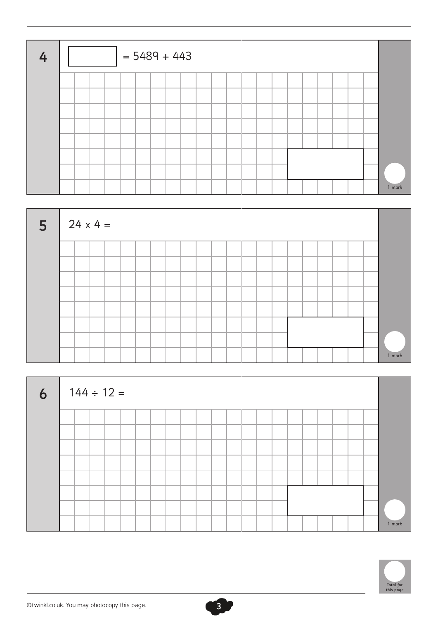| $\mathbf{A}$ |  |  | $= 5489 + 443$ |  |  |  |  |  |  |  |  |        |
|--------------|--|--|----------------|--|--|--|--|--|--|--|--|--------|
|              |  |  |                |  |  |  |  |  |  |  |  |        |
|              |  |  |                |  |  |  |  |  |  |  |  |        |
|              |  |  |                |  |  |  |  |  |  |  |  |        |
|              |  |  |                |  |  |  |  |  |  |  |  |        |
|              |  |  |                |  |  |  |  |  |  |  |  |        |
|              |  |  |                |  |  |  |  |  |  |  |  |        |
|              |  |  |                |  |  |  |  |  |  |  |  |        |
|              |  |  |                |  |  |  |  |  |  |  |  | 1 mark |



| 6 <sup>1</sup> |  | $144 \div 12 =$ |  |  |  |  |  |  |  |  |  |        |
|----------------|--|-----------------|--|--|--|--|--|--|--|--|--|--------|
|                |  |                 |  |  |  |  |  |  |  |  |  |        |
|                |  |                 |  |  |  |  |  |  |  |  |  |        |
|                |  |                 |  |  |  |  |  |  |  |  |  |        |
|                |  |                 |  |  |  |  |  |  |  |  |  |        |
|                |  |                 |  |  |  |  |  |  |  |  |  |        |
|                |  |                 |  |  |  |  |  |  |  |  |  |        |
|                |  |                 |  |  |  |  |  |  |  |  |  |        |
|                |  |                 |  |  |  |  |  |  |  |  |  | 1 mark |

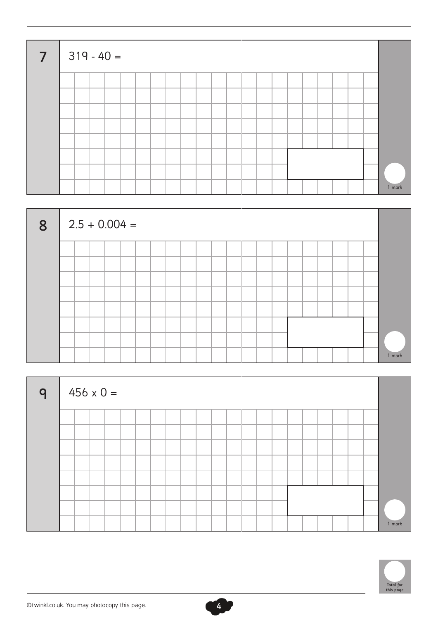| $\overline{7}$ |  | $319 - 40 =$ |  |  |  |  |  |  |  |  |        |
|----------------|--|--------------|--|--|--|--|--|--|--|--|--------|
|                |  |              |  |  |  |  |  |  |  |  |        |
|                |  |              |  |  |  |  |  |  |  |  |        |
|                |  |              |  |  |  |  |  |  |  |  |        |
|                |  |              |  |  |  |  |  |  |  |  |        |
|                |  |              |  |  |  |  |  |  |  |  |        |
|                |  |              |  |  |  |  |  |  |  |  |        |
|                |  |              |  |  |  |  |  |  |  |  |        |
|                |  |              |  |  |  |  |  |  |  |  | 1 mark |



| $\mathsf{q}$ |  | $456 \times 0 =$ |  |  |  |  |  |  |  |  |  |        |
|--------------|--|------------------|--|--|--|--|--|--|--|--|--|--------|
|              |  |                  |  |  |  |  |  |  |  |  |  |        |
|              |  |                  |  |  |  |  |  |  |  |  |  |        |
|              |  |                  |  |  |  |  |  |  |  |  |  |        |
|              |  |                  |  |  |  |  |  |  |  |  |  |        |
|              |  |                  |  |  |  |  |  |  |  |  |  |        |
|              |  |                  |  |  |  |  |  |  |  |  |  |        |
|              |  |                  |  |  |  |  |  |  |  |  |  |        |
|              |  |                  |  |  |  |  |  |  |  |  |  | 1 mark |



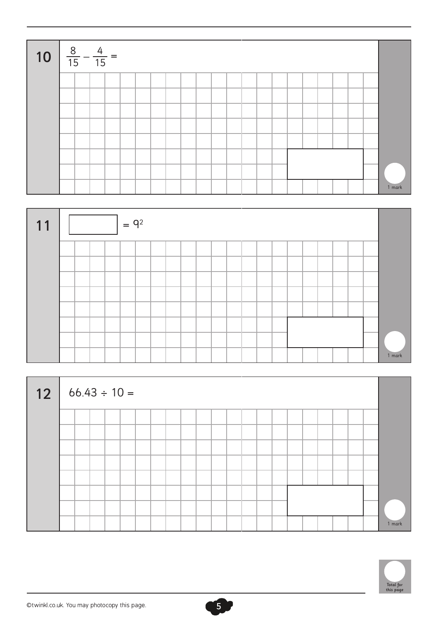



| 12 |  |  | $66.43 \div 10 =$ |  |  |  |  |  |  |  |  |        |
|----|--|--|-------------------|--|--|--|--|--|--|--|--|--------|
|    |  |  |                   |  |  |  |  |  |  |  |  |        |
|    |  |  |                   |  |  |  |  |  |  |  |  |        |
|    |  |  |                   |  |  |  |  |  |  |  |  |        |
|    |  |  |                   |  |  |  |  |  |  |  |  |        |
|    |  |  |                   |  |  |  |  |  |  |  |  |        |
|    |  |  |                   |  |  |  |  |  |  |  |  |        |
|    |  |  |                   |  |  |  |  |  |  |  |  |        |
|    |  |  |                   |  |  |  |  |  |  |  |  | 1 mark |

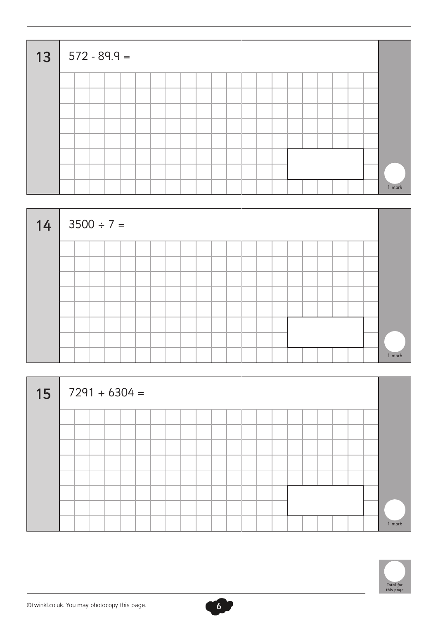| $13   572 - 89.9 =$ |  |  |  |  |  |  |  |  |  |  |        |
|---------------------|--|--|--|--|--|--|--|--|--|--|--------|
|                     |  |  |  |  |  |  |  |  |  |  |        |
|                     |  |  |  |  |  |  |  |  |  |  |        |
|                     |  |  |  |  |  |  |  |  |  |  |        |
|                     |  |  |  |  |  |  |  |  |  |  |        |
|                     |  |  |  |  |  |  |  |  |  |  |        |
|                     |  |  |  |  |  |  |  |  |  |  |        |
|                     |  |  |  |  |  |  |  |  |  |  |        |
|                     |  |  |  |  |  |  |  |  |  |  | 1 mark |



| 15 |  |  | $7291 + 6304 =$ |  |  |  |  |  |  |  |  |        |
|----|--|--|-----------------|--|--|--|--|--|--|--|--|--------|
|    |  |  |                 |  |  |  |  |  |  |  |  |        |
|    |  |  |                 |  |  |  |  |  |  |  |  |        |
|    |  |  |                 |  |  |  |  |  |  |  |  |        |
|    |  |  |                 |  |  |  |  |  |  |  |  |        |
|    |  |  |                 |  |  |  |  |  |  |  |  |        |
|    |  |  |                 |  |  |  |  |  |  |  |  |        |
|    |  |  |                 |  |  |  |  |  |  |  |  |        |
|    |  |  |                 |  |  |  |  |  |  |  |  | 1 mark |



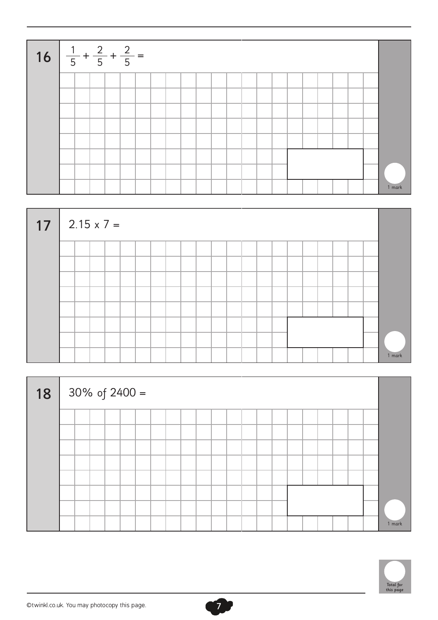| 16 $\frac{1}{5} + \frac{2}{5} + \frac{2}{5} =$ |  |  |  |  |  |  |  |  |  |  |        |
|------------------------------------------------|--|--|--|--|--|--|--|--|--|--|--------|
|                                                |  |  |  |  |  |  |  |  |  |  |        |
|                                                |  |  |  |  |  |  |  |  |  |  |        |
|                                                |  |  |  |  |  |  |  |  |  |  |        |
|                                                |  |  |  |  |  |  |  |  |  |  |        |
|                                                |  |  |  |  |  |  |  |  |  |  |        |
|                                                |  |  |  |  |  |  |  |  |  |  |        |
|                                                |  |  |  |  |  |  |  |  |  |  |        |
|                                                |  |  |  |  |  |  |  |  |  |  | 1 mark |



| 18 | $30\%$ of $2400 =$ |  |  |  |  |  |  |  |  |  |  |        |
|----|--------------------|--|--|--|--|--|--|--|--|--|--|--------|
|    |                    |  |  |  |  |  |  |  |  |  |  |        |
|    |                    |  |  |  |  |  |  |  |  |  |  |        |
|    |                    |  |  |  |  |  |  |  |  |  |  |        |
|    |                    |  |  |  |  |  |  |  |  |  |  |        |
|    |                    |  |  |  |  |  |  |  |  |  |  |        |
|    |                    |  |  |  |  |  |  |  |  |  |  |        |
|    |                    |  |  |  |  |  |  |  |  |  |  |        |
|    |                    |  |  |  |  |  |  |  |  |  |  | 1 mark |



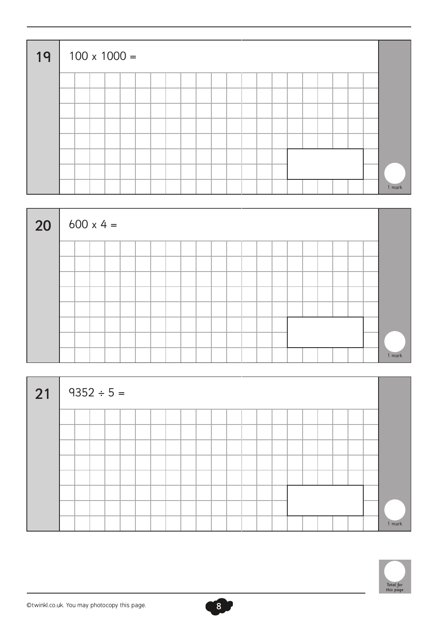| 19 |  |  | $100 \times 1000 =$ |  |  |  |  |  |  |  |  |        |
|----|--|--|---------------------|--|--|--|--|--|--|--|--|--------|
|    |  |  |                     |  |  |  |  |  |  |  |  |        |
|    |  |  |                     |  |  |  |  |  |  |  |  |        |
|    |  |  |                     |  |  |  |  |  |  |  |  |        |
|    |  |  |                     |  |  |  |  |  |  |  |  |        |
|    |  |  |                     |  |  |  |  |  |  |  |  |        |
|    |  |  |                     |  |  |  |  |  |  |  |  |        |
|    |  |  |                     |  |  |  |  |  |  |  |  |        |
|    |  |  |                     |  |  |  |  |  |  |  |  | 1 mark |



| $\vert$ 21 |  | $9352 \div 5 =$ |  |  |  |  |  |  |  |  |  |        |
|------------|--|-----------------|--|--|--|--|--|--|--|--|--|--------|
|            |  |                 |  |  |  |  |  |  |  |  |  |        |
|            |  |                 |  |  |  |  |  |  |  |  |  |        |
|            |  |                 |  |  |  |  |  |  |  |  |  |        |
|            |  |                 |  |  |  |  |  |  |  |  |  |        |
|            |  |                 |  |  |  |  |  |  |  |  |  |        |
|            |  |                 |  |  |  |  |  |  |  |  |  |        |
|            |  |                 |  |  |  |  |  |  |  |  |  |        |
|            |  |                 |  |  |  |  |  |  |  |  |  | 1 mark |



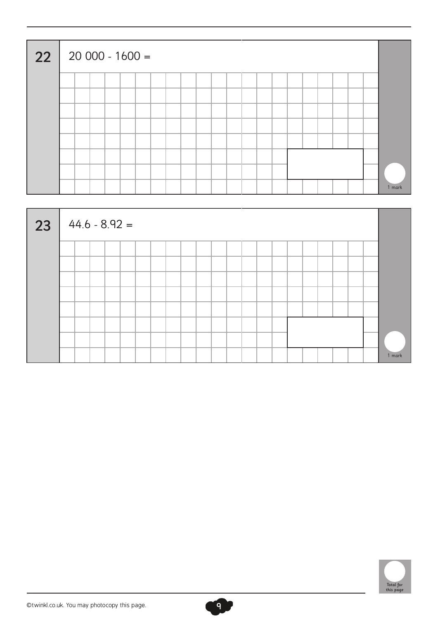| 22 |  | 20 000 - 1600 = |  |  |  |  |  |  |  |  |        |
|----|--|-----------------|--|--|--|--|--|--|--|--|--------|
|    |  |                 |  |  |  |  |  |  |  |  |        |
|    |  |                 |  |  |  |  |  |  |  |  |        |
|    |  |                 |  |  |  |  |  |  |  |  |        |
|    |  |                 |  |  |  |  |  |  |  |  |        |
|    |  |                 |  |  |  |  |  |  |  |  |        |
|    |  |                 |  |  |  |  |  |  |  |  |        |
|    |  |                 |  |  |  |  |  |  |  |  |        |
|    |  |                 |  |  |  |  |  |  |  |  | 1 mark |





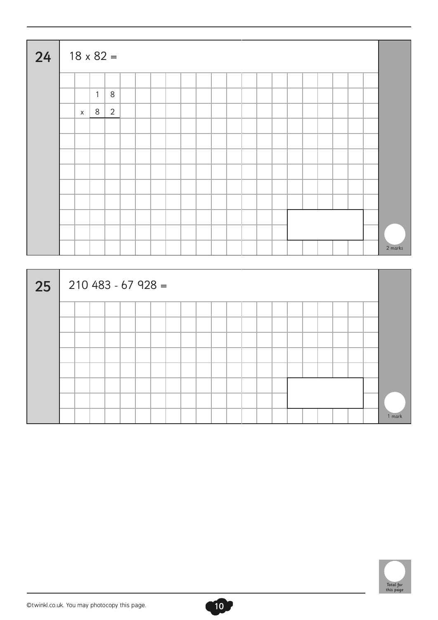| 24 | $18 \times 82 =$ |              |                |  |  |  |  |  |  |  |  |         |
|----|------------------|--------------|----------------|--|--|--|--|--|--|--|--|---------|
|    |                  |              |                |  |  |  |  |  |  |  |  |         |
|    |                  | $\mathbf{1}$ | $\,8\,$        |  |  |  |  |  |  |  |  |         |
|    | $\mathsf{X}$     | 8            | $\overline{2}$ |  |  |  |  |  |  |  |  |         |
|    |                  |              |                |  |  |  |  |  |  |  |  |         |
|    |                  |              |                |  |  |  |  |  |  |  |  |         |
|    |                  |              |                |  |  |  |  |  |  |  |  |         |
|    |                  |              |                |  |  |  |  |  |  |  |  |         |
|    |                  |              |                |  |  |  |  |  |  |  |  |         |
|    |                  |              |                |  |  |  |  |  |  |  |  |         |
|    |                  |              |                |  |  |  |  |  |  |  |  |         |
|    |                  |              |                |  |  |  |  |  |  |  |  |         |
|    |                  |              |                |  |  |  |  |  |  |  |  | 2 marks |





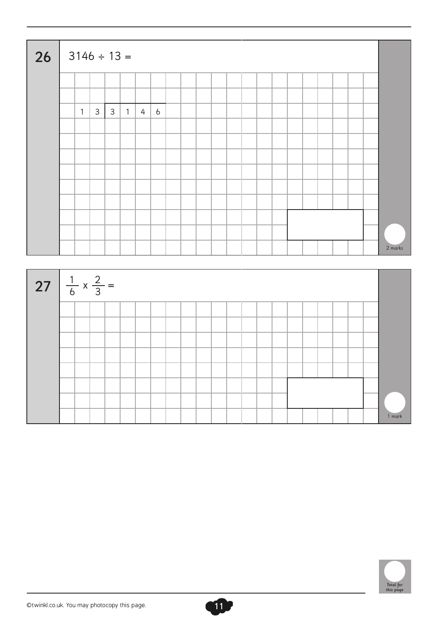| 26                                    | $3146 \div 13 =$ |              |              |                |                |                |  |  |  |  |  |  |  |         |
|---------------------------------------|------------------|--------------|--------------|----------------|----------------|----------------|--|--|--|--|--|--|--|---------|
|                                       |                  |              |              |                |                |                |  |  |  |  |  |  |  |         |
|                                       |                  |              |              |                |                |                |  |  |  |  |  |  |  |         |
|                                       | $\mathbf{1}$     | $\mathbf{3}$ | $\mathbf{3}$ | $\overline{1}$ | $\overline{4}$ | $\overline{6}$ |  |  |  |  |  |  |  |         |
|                                       |                  |              |              |                |                |                |  |  |  |  |  |  |  |         |
|                                       |                  |              |              |                |                |                |  |  |  |  |  |  |  |         |
|                                       |                  |              |              |                |                |                |  |  |  |  |  |  |  |         |
|                                       |                  |              |              |                |                |                |  |  |  |  |  |  |  |         |
|                                       |                  |              |              |                |                |                |  |  |  |  |  |  |  |         |
|                                       |                  |              |              |                |                |                |  |  |  |  |  |  |  |         |
|                                       |                  |              |              |                |                |                |  |  |  |  |  |  |  |         |
|                                       |                  |              |              |                |                |                |  |  |  |  |  |  |  |         |
|                                       |                  |              |              |                |                |                |  |  |  |  |  |  |  | 2 marks |
|                                       |                  |              |              |                |                |                |  |  |  |  |  |  |  |         |
| 27 $\frac{1}{6} \times \frac{2}{3} =$ |                  |              |              |                |                |                |  |  |  |  |  |  |  |         |
|                                       |                  |              |              |                |                |                |  |  |  |  |  |  |  |         |
|                                       |                  |              |              |                |                |                |  |  |  |  |  |  |  |         |
|                                       |                  |              |              |                |                |                |  |  |  |  |  |  |  |         |
|                                       |                  |              |              |                |                |                |  |  |  |  |  |  |  |         |
|                                       |                  |              |              |                |                |                |  |  |  |  |  |  |  |         |
|                                       |                  |              |              |                |                |                |  |  |  |  |  |  |  |         |
|                                       |                  |              |              |                |                |                |  |  |  |  |  |  |  |         |
|                                       |                  |              |              |                |                |                |  |  |  |  |  |  |  |         |
|                                       |                  |              |              |                |                |                |  |  |  |  |  |  |  | 1 mark  |

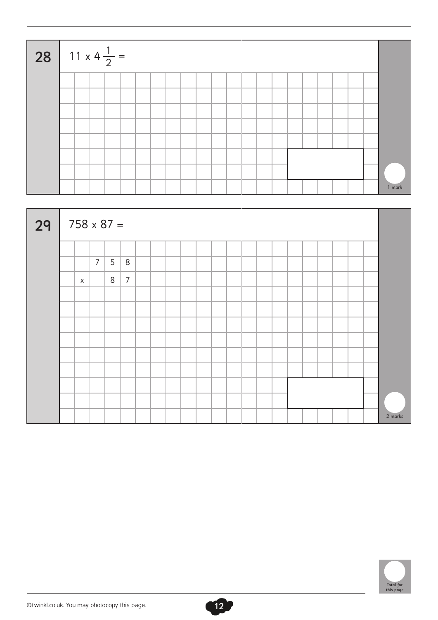| 28 11 x 4 $\frac{1}{2}$ = |  |  |  |  |  |  |  |  |  |  |        |
|---------------------------|--|--|--|--|--|--|--|--|--|--|--------|
|                           |  |  |  |  |  |  |  |  |  |  |        |
|                           |  |  |  |  |  |  |  |  |  |  |        |
|                           |  |  |  |  |  |  |  |  |  |  |        |
|                           |  |  |  |  |  |  |  |  |  |  |        |
|                           |  |  |  |  |  |  |  |  |  |  |        |
|                           |  |  |  |  |  |  |  |  |  |  |        |
|                           |  |  |  |  |  |  |  |  |  |  |        |
|                           |  |  |  |  |  |  |  |  |  |  | 1 mark |





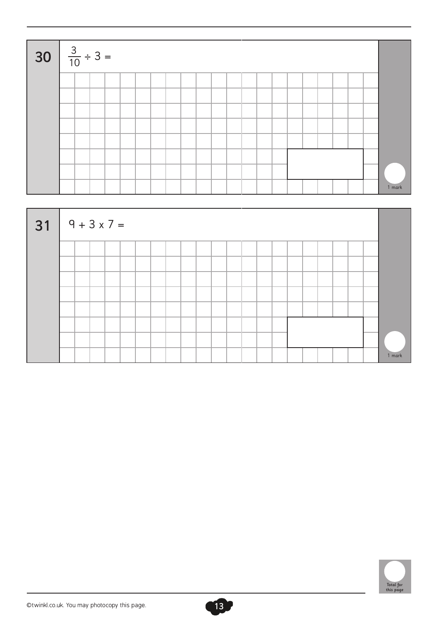| <b>30</b> $\frac{3}{10} \div 3 =$ |  |  |  |  |  |  |  |  |  |  |        |
|-----------------------------------|--|--|--|--|--|--|--|--|--|--|--------|
|                                   |  |  |  |  |  |  |  |  |  |  |        |
|                                   |  |  |  |  |  |  |  |  |  |  |        |
|                                   |  |  |  |  |  |  |  |  |  |  |        |
|                                   |  |  |  |  |  |  |  |  |  |  |        |
|                                   |  |  |  |  |  |  |  |  |  |  |        |
|                                   |  |  |  |  |  |  |  |  |  |  |        |
|                                   |  |  |  |  |  |  |  |  |  |  |        |
|                                   |  |  |  |  |  |  |  |  |  |  | 1 mark |





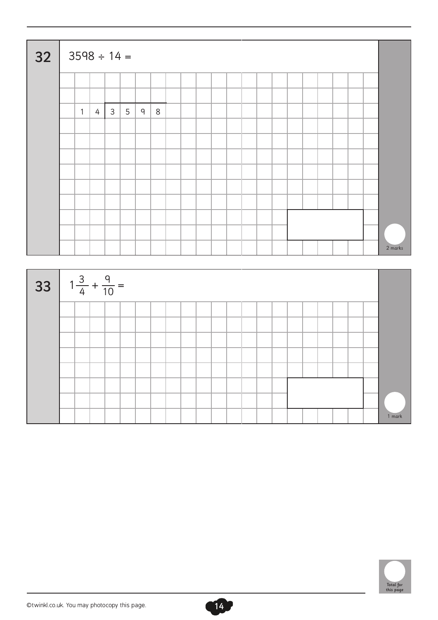| 32 |              | $3598 \div 14 =$ |              |   |   |   |  |  |  |  |  |  |  |         |
|----|--------------|------------------|--------------|---|---|---|--|--|--|--|--|--|--|---------|
|    |              |                  |              |   |   |   |  |  |  |  |  |  |  |         |
|    |              |                  |              |   |   |   |  |  |  |  |  |  |  |         |
|    | $\mathbf{1}$ | $\overline{4}$   | $\mathbf{3}$ | 5 | 9 | 8 |  |  |  |  |  |  |  |         |
|    |              |                  |              |   |   |   |  |  |  |  |  |  |  |         |
|    |              |                  |              |   |   |   |  |  |  |  |  |  |  |         |
|    |              |                  |              |   |   |   |  |  |  |  |  |  |  |         |
|    |              |                  |              |   |   |   |  |  |  |  |  |  |  |         |
|    |              |                  |              |   |   |   |  |  |  |  |  |  |  |         |
|    |              |                  |              |   |   |   |  |  |  |  |  |  |  |         |
|    |              |                  |              |   |   |   |  |  |  |  |  |  |  |         |
|    |              |                  |              |   |   |   |  |  |  |  |  |  |  |         |
|    |              |                  |              |   |   |   |  |  |  |  |  |  |  | 2 marks |





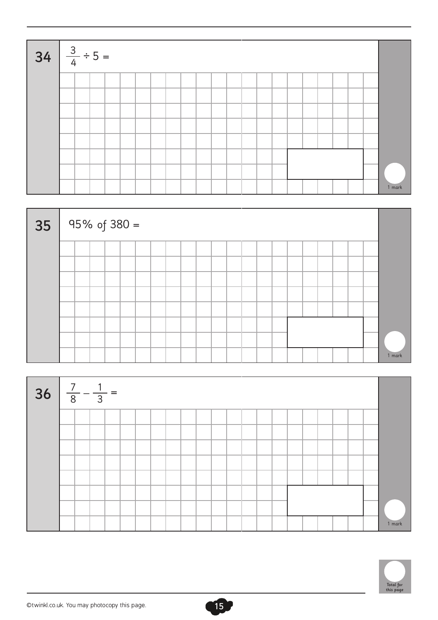| $34 \frac{3}{4} \div 5 =$ |  |  |  |  |  |  |  |  |  |  |        |
|---------------------------|--|--|--|--|--|--|--|--|--|--|--------|
|                           |  |  |  |  |  |  |  |  |  |  |        |
|                           |  |  |  |  |  |  |  |  |  |  |        |
|                           |  |  |  |  |  |  |  |  |  |  |        |
|                           |  |  |  |  |  |  |  |  |  |  |        |
|                           |  |  |  |  |  |  |  |  |  |  |        |
|                           |  |  |  |  |  |  |  |  |  |  |        |
|                           |  |  |  |  |  |  |  |  |  |  |        |
|                           |  |  |  |  |  |  |  |  |  |  | 1 mark |